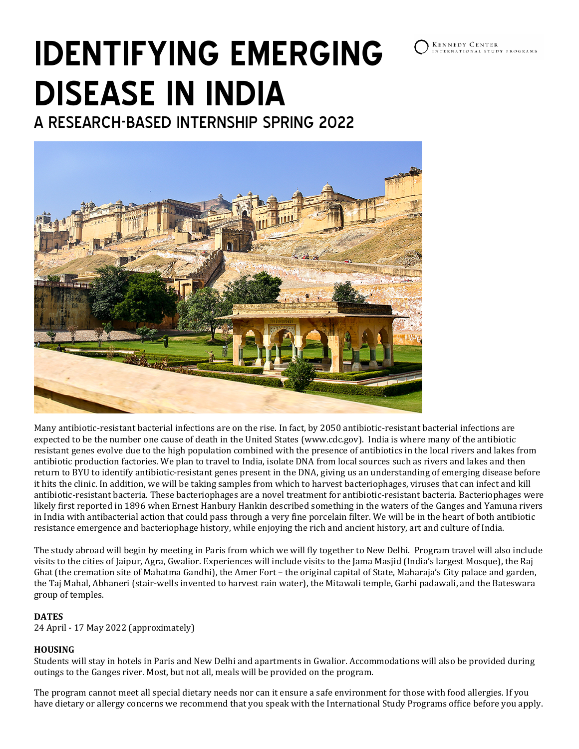

# **IDENTIFYING EMERGING DISEASE IN INDIA**

A RESEARCH-BASED INTERNSHIP SPRING 2022



Many antibiotic-resistant bacterial infections are on the rise. In fact, by 2050 antibiotic-resistant bacterial infections are expected to be the number one cause of death in the United States (www.cdc.gov). India is where many of the antibiotic resistant genes evolve due to the high population combined with the presence of antibiotics in the local rivers and lakes from antibiotic production factories. We plan to travel to India, isolate DNA from local sources such as rivers and lakes and then return to BYU to identify antibiotic-resistant genes present in the DNA, giving us an understanding of emerging disease before it hits the clinic. In addition, we will be taking samples from which to harvest bacteriophages, viruses that can infect and kill antibiotic-resistant bacteria. These bacteriophages are a novel treatment for antibiotic-resistant bacteria. Bacteriophages were likely first reported in 1896 when Ernest Hanbury Hankin described something in the waters of the Ganges and Yamuna rivers in India with antibacterial action that could pass through a very fine porcelain filter. We will be in the heart of both antibiotic resistance emergence and bacteriophage history, while enjoying the rich and ancient history, art and culture of India.

The study abroad will begin by meeting in Paris from which we will fly together to New Delhi. Program travel will also include visits to the cities of Jaipur, Agra, Gwalior. Experiences will include visits to the Jama Masjid (India's largest Mosque), the Raj Ghat (the cremation site of Mahatma Gandhi), the Amer Fort – the original capital of State, Maharaja's City palace and garden, the Taj Mahal, Abhaneri (stair-wells invented to harvest rain water), the Mitawali temple, Garhi padawali, and the Bateswara group of temples.

## **DATES**

24 April - 17 May 2022 (approximately)

## **HOUSING**

Students will stay in hotels in Paris and New Delhi and apartments in Gwalior. Accommodations will also be provided during outings to the Ganges river. Most, but not all, meals will be provided on the program.

The program cannot meet all special dietary needs nor can it ensure a safe environment for those with food allergies. If you have dietary or allergy concerns we recommend that you speak with the International Study Programs office before you apply.